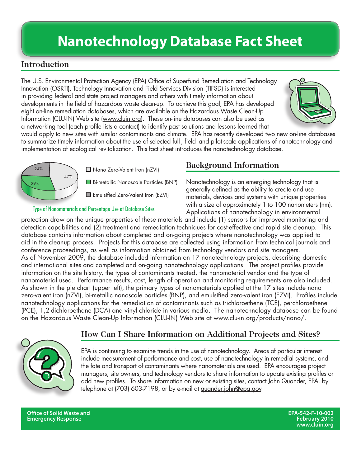## **Nanotechnology Database Fact Sheet**

### **Introduction**

The U.S. Environmental Protection Agency (EPA) Office of Superfund Remediation and Technology Innovation (OSRTI), Technology Innovation and Field Services Division (TIFSD) is interested in providing federal and state project managers and others with timely information about developments in the field of hazardous waste clean-up. To achieve this goal, EPA has developed eight on-line remediation databases, which are available on the Hazardous Waste Clean-Up Information (CLU-IN) Web site (www.cluin.org). These on-line databases can also be used as a networking tool (each profile lists a contact) to identify past solutions and lessons learned that



would apply to new sites with similar contaminants and climate. EPA has recently developed two new on-line databases to summarize timely information about the use of selected full-, field- and pilot-scale applications of nanotechnology and implementation of ecological revitalization. This fact sheet introduces the nanotechnology database.



□ Nano Zero-Valent Iron (nZVI)

Bi-metallic Nanoscale Particles (BNP)

**Emulsified Zero-Valent Iron (EZVI)** 

#### Type of Nanomaterials and Percentage Use at Database Sites

#### **Background Information**

Nanotechnology is an emerging technology that is generally defined as the ability to create and use materials, devices and systems with unique properties with a size of approximately 1 to 100 nanometers (nm). Applications of nanotechnology in environmental

protection draw on the unique properties of these materials and include (1) sensors for improved monitoring and detection capabilities and (2) treatment and remediation techniques for cost-effective and rapid site cleanup. This database contains information about completed and on-going projects where nanotechnology was applied to aid in the cleanup process. Projects for this database are collected using information from technical journals and conference proceedings, as well as information obtained from technology vendors and site managers. As of November 2009, the database included information on 17 nanotechnology projects, describing domestic and international sites and completed and on-going nanotechnology applications. The project profiles provide information on the site history, the types of contaminants treated, the nanomaterial vendor and the type of nanomaterial used. Performance results, cost, length of operation and monitoring requirements are also included. As shown in the pie chart (upper left), the primary types of nanomaterials applied at the 17 sites include nano zero-valent iron (nZVI), bi-metallic nanoscale particles (BNP), and emulsified zero-valent iron (EZVI). Profiles include nanotechnology applications for the remediation of contaminants such as trichloroethene (TCE), perchloroethene (PCE), 1,2-dichloroethane (DCA) and vinyl chloride in various media. The nanotechnology database can be found on the Hazardous Waste Clean-Up Information (CLU-IN) Web site at www.clu-in.org/products/nano/.

#### **How Can I Share Information on Additional Projects and Sites?**

EPA is continuing to examine trends in the use of nanotechnology. Areas of particular interest include measurement of performance and cost, use of nanotechnology in remedial systems, and the fate and transport of contaminants where nanomaterials are used. EPA encourages project managers, site owners, and technology vendors to share information to update existing profiles or add new profiles. To share information on new or existing sites, contact John Quander, EPA, by telephone at (703) 603-7198, or by e-mail at quander.john@epa.gov.

**Office of Solid Waste and EPA-542-F-10-002 Emergency Response**